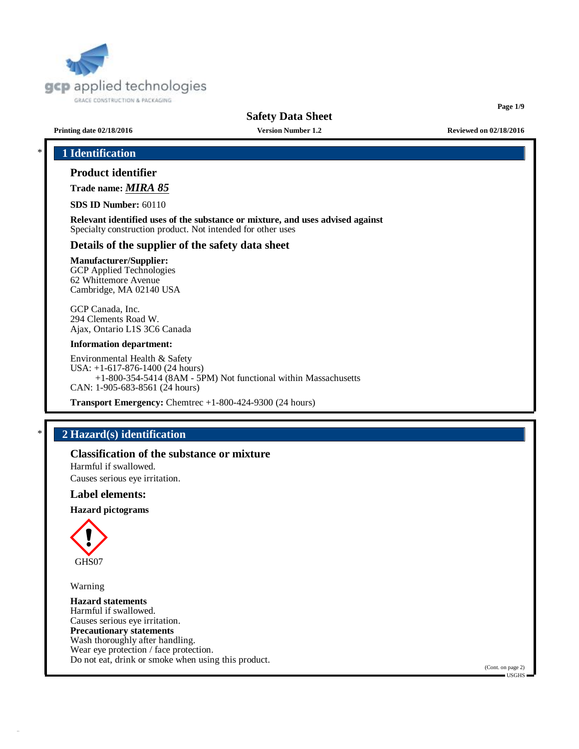

**Page 1/9**

**Printing date 02/18/2016 Version Number 1.2 Reviewed on 02/18/2016**

# \* **1 Identification**

# **Product identifier**

**Trade name:** *MIRA 85*

**SDS ID Number:** 60110

**Relevant identified uses of the substance or mixture, and uses advised against** Specialty construction product. Not intended for other uses

### **Details of the supplier of the safety data sheet**

### **Manufacturer/Supplier:**

GCP Applied Technologies 62 Whittemore Avenue Cambridge, MA 02140 USA

GCP Canada, Inc. 294 Clements Road W. Ajax, Ontario L1S 3C6 Canada

#### **Information department:**

Environmental Health & Safety USA: +1-617-876-1400 (24 hours) +1-800-354-5414 (8AM - 5PM) Not functional within Massachusetts CAN: 1-905-683-8561 (24 hours)

**Transport Emergency:** Chemtrec +1-800-424-9300 (24 hours)

# \* **2 Hazard(s) identification**

**Classification of the substance or mixture**

Harmful if swallowed. Causes serious eye irritation.

# **Label elements:**

#### **Hazard pictograms**



Warning

**Hazard statements** Harmful if swallowed. Causes serious eye irritation. **Precautionary statements** Wash thoroughly after handling. Wear eye protection / face protection. Do not eat, drink or smoke when using this product.

(Cont. on page 2)  $-IISGHS$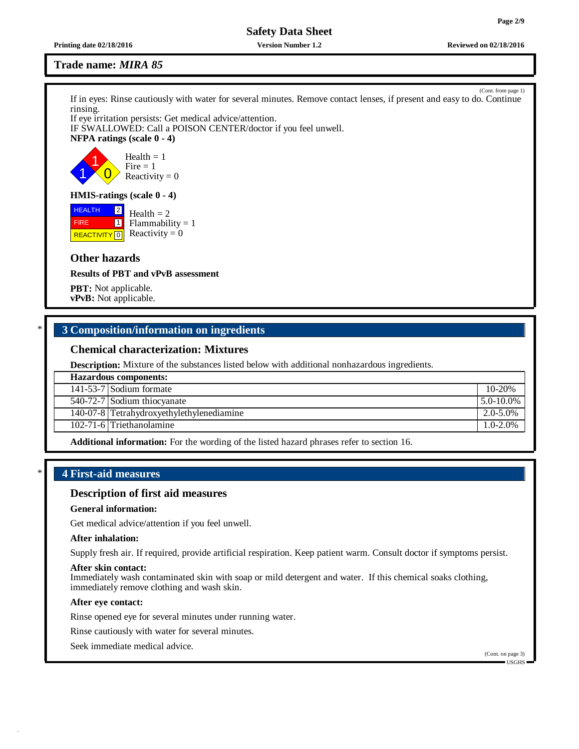**Printing date 02/18/2016 Version Number 1.2 Reviewed on 02/18/2016**

# **Trade name:** *MIRA 85*

If in eyes: Rinse cautiously with water for several minutes. Remove contact lenses, if present and easy to do. Continue rinsing.

If eye irritation persists: Get medical advice/attention. IF SWALLOWED: Call a POISON CENTER/doctor if you feel unwell. **NFPA ratings (scale 0 - 4)**



**HMIS-ratings (scale 0 - 4)**

**HEALTH**  FIRE **REACTIVITY** 0  $\overline{2}$  $\boxed{1}$  $Health = 2$  $Flammability = 1$ Reactivity  $= 0$ 

# **Other hazards**

**Results of PBT and vPvB assessment**

**PBT:** Not applicable. **vPvB:** Not applicable.

# \* **3 Composition/information on ingredients**

# **Chemical characterization: Mixtures**

**Description:** Mixture of the substances listed below with additional nonhazardous ingredients.

| <b>Hazardous components:</b> |                                           |                 |  |
|------------------------------|-------------------------------------------|-----------------|--|
|                              | 141-53-7 Sodium formate                   | $10 - 20%$      |  |
|                              | $\overline{540-72-7}$ Sodium thiocyanate  | $15.0 - 10.0\%$ |  |
|                              | 140-07-8 Tetrahydroxyethylethylenediamine | 2.0-5.0%        |  |
|                              | 102-71-6 Triethanolamine                  | $1.0 - 2.0\%$   |  |

**Additional information:** For the wording of the listed hazard phrases refer to section 16.

# \* **4 First-aid measures**

# **Description of first aid measures**

#### **General information:**

Get medical advice/attention if you feel unwell.

#### **After inhalation:**

Supply fresh air. If required, provide artificial respiration. Keep patient warm. Consult doctor if symptoms persist.

#### **After skin contact:**

Immediately wash contaminated skin with soap or mild detergent and water. If this chemical soaks clothing, immediately remove clothing and wash skin.

### **After eye contact:**

Rinse opened eye for several minutes under running water.

Rinse cautiously with water for several minutes.

Seek immediate medical advice.

(Cont. on page 3) USGHS

(Cont. from page 1)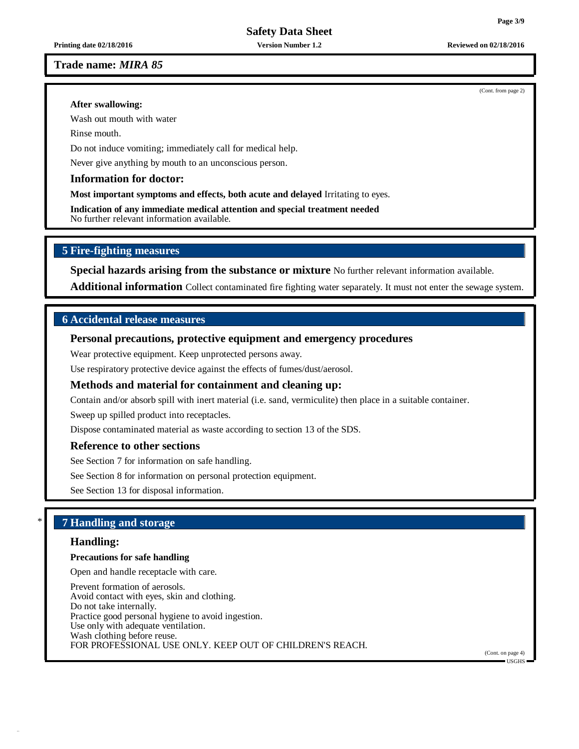**Trade name:** *MIRA 85*

#### **After swallowing:**

Wash out mouth with water

Rinse mouth.

Do not induce vomiting; immediately call for medical help.

Never give anything by mouth to an unconscious person.

# **Information for doctor:**

**Most important symptoms and effects, both acute and delayed** Irritating to eyes.

**Indication of any immediate medical attention and special treatment needed** No further relevant information available.

# **5 Fire-fighting measures**

**Special hazards arising from the substance or mixture** No further relevant information available.

**Additional information** Collect contaminated fire fighting water separately. It must not enter the sewage system.

# **6 Accidental release measures**

# **Personal precautions, protective equipment and emergency procedures**

Wear protective equipment. Keep unprotected persons away.

Use respiratory protective device against the effects of fumes/dust/aerosol.

# **Methods and material for containment and cleaning up:**

Contain and/or absorb spill with inert material (i.e. sand, vermiculite) then place in a suitable container.

Sweep up spilled product into receptacles.

Dispose contaminated material as waste according to section 13 of the SDS.

# **Reference to other sections**

See Section 7 for information on safe handling.

See Section 8 for information on personal protection equipment.

See Section 13 for disposal information.

# \* **7 Handling and storage**

# **Handling:**

### **Precautions for safe handling**

Open and handle receptacle with care.

Prevent formation of aerosols. Avoid contact with eyes, skin and clothing. Do not take internally. Practice good personal hygiene to avoid ingestion. Use only with adequate ventilation. Wash clothing before reuse. FOR PROFESSIONAL USE ONLY. KEEP OUT OF CHILDREN'S REACH.

(Cont. on page 4)  $\blacksquare$  USGHS

(Cont. from page 2)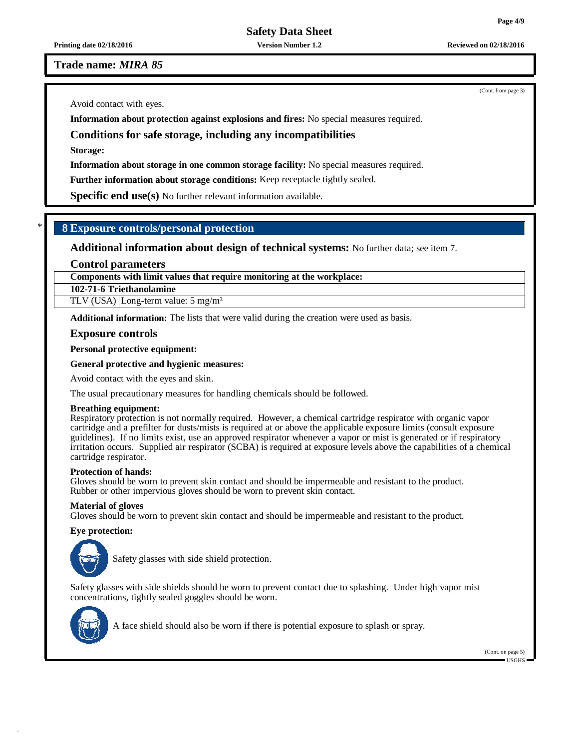**Printing date 02/18/2016 Version Number 1.2 Reviewed on 02/18/2016**

**Trade name:** *MIRA 85*

Avoid contact with eyes.

**Information about protection against explosions and fires:** No special measures required.

# **Conditions for safe storage, including any incompatibilities**

**Storage:**

**Information about storage in one common storage facility:** No special measures required.

**Further information about storage conditions:** Keep receptacle tightly sealed.

**Specific end use(s)** No further relevant information available.

# \* **8 Exposure controls/personal protection**

**Additional information about design of technical systems:** No further data; see item 7.

### **Control parameters**

**Components with limit values that require monitoring at the workplace:**

**102-71-6 Triethanolamine**

TLV (USA) Long-term value: 5 mg/m<sup>3</sup>

**Additional information:** The lists that were valid during the creation were used as basis.

### **Exposure controls**

**Personal protective equipment:**

#### **General protective and hygienic measures:**

Avoid contact with the eyes and skin.

The usual precautionary measures for handling chemicals should be followed.

#### **Breathing equipment:**

Respiratory protection is not normally required. However, a chemical cartridge respirator with organic vapor cartridge and a prefilter for dusts/mists is required at or above the applicable exposure limits (consult exposure guidelines). If no limits exist, use an approved respirator whenever a vapor or mist is generated or if respiratory irritation occurs. Supplied air respirator (SCBA) is required at exposure levels above the capabilities of a chemical cartridge respirator.

#### **Protection of hands:**

Gloves should be worn to prevent skin contact and should be impermeable and resistant to the product. Rubber or other impervious gloves should be worn to prevent skin contact.

#### **Material of gloves**

Gloves should be worn to prevent skin contact and should be impermeable and resistant to the product.

#### **Eye protection:**



Safety glasses with side shield protection.

Safety glasses with side shields should be worn to prevent contact due to splashing. Under high vapor mist concentrations, tightly sealed goggles should be worn.



A face shield should also be worn if there is potential exposure to splash or spray.

(Cont. on page 5)  $\blacksquare$  USGHS

(Cont. from page 3)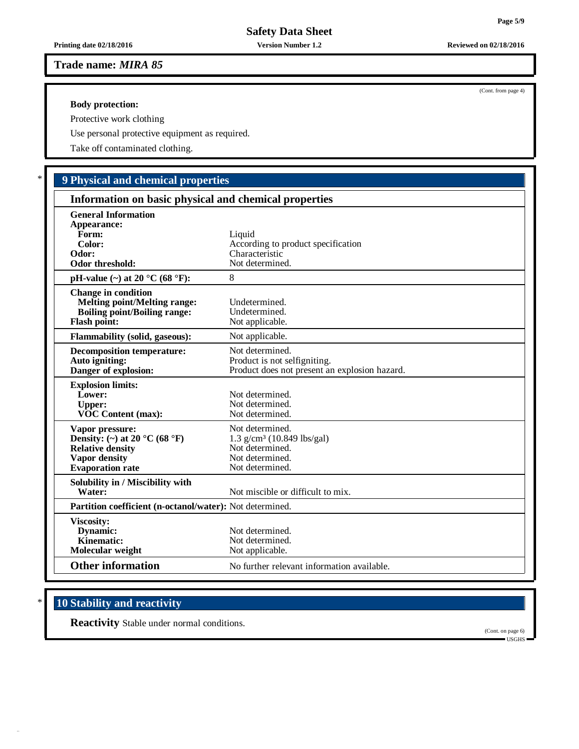# **Trade name:** *MIRA 85*

### **Body protection:**

 $\Gamma$ 

Protective work clothing

Use personal protective equipment as required.

Take off contaminated clothing.

# \* **9 Physical and chemical properties**

| Information on basic physical and chemical properties                                                                                       |                                                                                                                      |  |  |  |
|---------------------------------------------------------------------------------------------------------------------------------------------|----------------------------------------------------------------------------------------------------------------------|--|--|--|
| <b>General Information</b><br>Appearance:<br>Form:<br>Color:<br>Odor:<br><b>Odor threshold:</b>                                             | Liquid<br>According to product specification<br>Characteristic<br>Not determined.                                    |  |  |  |
| pH-value $(\sim)$ at 20 °C (68 °F):                                                                                                         | 8                                                                                                                    |  |  |  |
| <b>Change in condition</b><br><b>Melting point/Melting range:</b><br><b>Boiling point/Boiling range:</b><br><b>Flash point:</b>             | Undetermined.<br>Undetermined.<br>Not applicable.                                                                    |  |  |  |
| <b>Flammability (solid, gaseous):</b>                                                                                                       | Not applicable.                                                                                                      |  |  |  |
| <b>Decomposition temperature:</b><br>Auto igniting:<br>Danger of explosion:                                                                 | Not determined.<br>Product is not selfigniting.<br>Product does not present an explosion hazard.                     |  |  |  |
| <b>Explosion limits:</b><br>Lower:<br><b>Upper:</b><br><b>VOC Content (max):</b>                                                            | Not determined.<br>Not determined.<br>Not determined.                                                                |  |  |  |
| Vapor pressure:<br>Density: (~) at 20 $^{\circ}$ C (68 $^{\circ}$ F)<br><b>Relative density</b><br>Vapor density<br><b>Evaporation rate</b> | Not determined.<br>$1.3$ g/cm <sup>3</sup> (10.849 lbs/gal)<br>Not determined.<br>Not determined.<br>Not determined. |  |  |  |
| Solubility in / Miscibility with<br>Water:                                                                                                  | Not miscible or difficult to mix.                                                                                    |  |  |  |
| <b>Partition coefficient (n-octanol/water):</b> Not determined.                                                                             |                                                                                                                      |  |  |  |
| Viscosity:<br>Dynamic:<br>Kinematic:<br>Molecular weight                                                                                    | Not determined.<br>Not determined.<br>Not applicable.                                                                |  |  |  |
| <b>Other information</b>                                                                                                                    | No further relevant information available.                                                                           |  |  |  |

# \* **10 Stability and reactivity**

**Reactivity** Stable under normal conditions.

(Cont. on page 6) USGHS

(Cont. from page 4)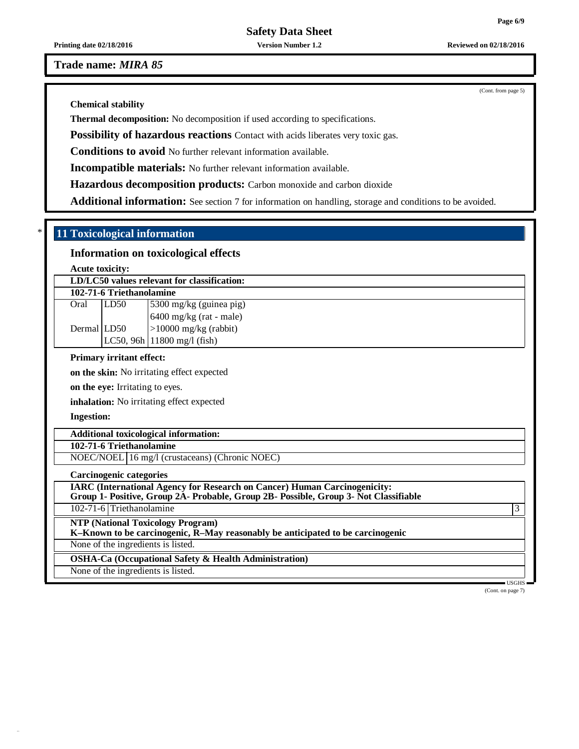**Printing date 02/18/2016 Version Number 1.2 Reviewed on 02/18/2016**

**Trade name:** *MIRA 85*

**Chemical stability**

**Thermal decomposition:** No decomposition if used according to specifications.

**Possibility of hazardous reactions** Contact with acids liberates very toxic gas.

**Conditions to avoid** No further relevant information available.

**Incompatible materials:** No further relevant information available.

**Hazardous decomposition products:** Carbon monoxide and carbon dioxide

**Additional information:** See section 7 for information on handling, storage and conditions to be avoided.

# \* **11 Toxicological information**

# **Information on toxicological effects**

**Acute toxicity:**

| LD/LC50 values relevant for classification: |      |                                                             |  |  |  |  |
|---------------------------------------------|------|-------------------------------------------------------------|--|--|--|--|
| 102-71-6 Triethanolamine                    |      |                                                             |  |  |  |  |
| Oral                                        | LD50 | $\frac{5300 \text{ mg/kg}}{300 \text{ mg/kg}}$ (guinea pig) |  |  |  |  |
|                                             |      | $6400$ mg/kg (rat - male)                                   |  |  |  |  |
| Dermal LD50                                 |      | $ >10000$ mg/kg (rabbit)                                    |  |  |  |  |
|                                             |      | $LC50, 96h$ 11800 mg/l (fish)                               |  |  |  |  |

# **Primary irritant effect:**

**on the skin:** No irritating effect expected

**on the eye:** Irritating to eyes.

**inhalation:** No irritating effect expected

**Ingestion:**

#### **Additional toxicological information:**

#### **102-71-6 Triethanolamine**

NOEC/NOEL 16 mg/l (crustaceans) (Chronic NOEC)

**Carcinogenic categories**

**IARC (International Agency for Research on Cancer) Human Carcinogenicity: Group 1- Positive, Group 2A- Probable, Group 2B- Possible, Group 3- Not Classifiable**

102-71-6 Triethanolamine 3

**NTP (National Toxicology Program)**

**K–Known to be carcinogenic, R–May reasonably be anticipated to be carcinogenic**

None of the ingredients is listed.

**OSHA-Ca (Occupational Safety & Health Administration)**

None of the ingredients is listed.

 $\blacksquare$  USGHS (Cont. on page 7)

(Cont. from page 5)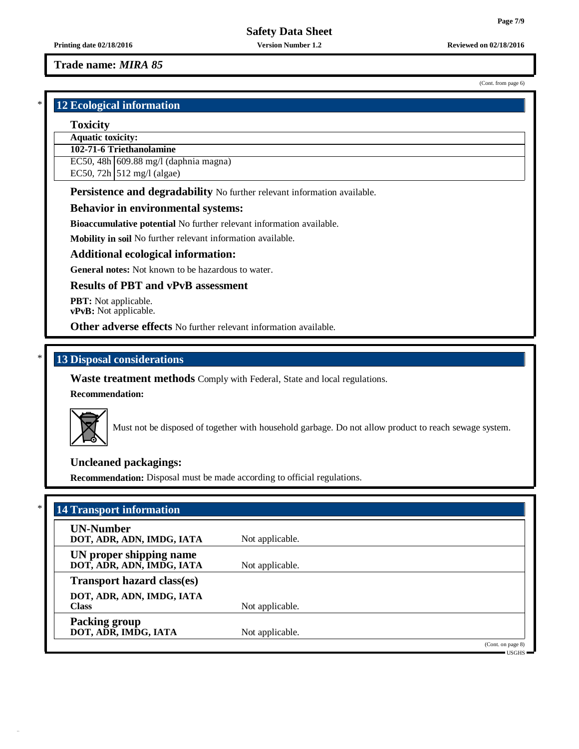(Cont. from page 6)

**Safety Data Sheet**

**Printing date 02/18/2016 Version Number 1.2 Reviewed on 02/18/2016**

# **Trade name:** *MIRA 85*

# \* **12 Ecological information**

### **Toxicity**

# **Aquatic toxicity:**

# **102-71-6 Triethanolamine**

EC50, 48h 609.88 mg/l (daphnia magna)

EC50, 72h  $\vert$  512 mg/l (algae)

**Persistence and degradability** No further relevant information available.

# **Behavior in environmental systems:**

**Bioaccumulative potential** No further relevant information available.

**Mobility in soil** No further relevant information available.

# **Additional ecological information:**

**General notes:** Not known to be hazardous to water.

# **Results of PBT and vPvB assessment**

**PBT:** Not applicable. **vPvB:** Not applicable.

**Other adverse effects** No further relevant information available.

# \* **13 Disposal considerations**

**Waste treatment methods** Comply with Federal, State and local regulations.

**Recommendation:**



Must not be disposed of together with household garbage. Do not allow product to reach sewage system.

# **Uncleaned packagings:**

**Recommendation:** Disposal must be made according to official regulations.

| <b>UN-Number</b>                  |                 |  |
|-----------------------------------|-----------------|--|
| DOT, ADR, ADN, IMDG, IATA         | Not applicable. |  |
| UN proper shipping name           |                 |  |
| DOT, ADR, ADN, IMDG, IATA         | Not applicable. |  |
| <b>Transport hazard class(es)</b> |                 |  |
| DOT, ADR, ADN, IMDG, IATA         |                 |  |
| <b>Class</b>                      | Not applicable. |  |
| <b>Packing group</b>              |                 |  |
| DOT, ADR, IMDG, IATA              | Not applicable. |  |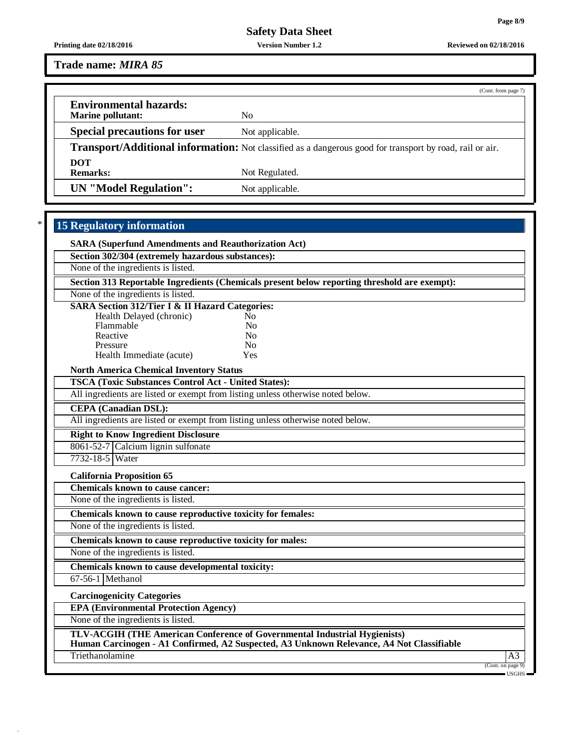**Printing date 02/18/2016 Version Number 1.2 Reviewed on 02/18/2016**

**Trade name:** *MIRA 85*

|                                                    | (Cont. from page 7)                                                                                      |
|----------------------------------------------------|----------------------------------------------------------------------------------------------------------|
| <b>Environmental hazards:</b><br>Marine pollutant: | No                                                                                                       |
| <b>Special precautions for user</b>                | Not applicable.                                                                                          |
|                                                    | Transport/Additional information: Not classified as a dangerous good for transport by road, rail or air. |
| <b>DOT</b>                                         |                                                                                                          |
| <b>Remarks:</b>                                    | Not Regulated.                                                                                           |
| UN "Model Regulation":                             | Not applicable.                                                                                          |

# \* **15 Regulatory information**

| <b>SARA (Superfund Amendments and Reauthorization Act)</b>                                   |                         |  |  |  |
|----------------------------------------------------------------------------------------------|-------------------------|--|--|--|
| Section 302/304 (extremely hazardous substances):                                            |                         |  |  |  |
| None of the ingredients is listed.                                                           |                         |  |  |  |
| Section 313 Reportable Ingredients (Chemicals present below reporting threshold are exempt): |                         |  |  |  |
| None of the ingredients is listed.                                                           |                         |  |  |  |
| <b>SARA Section 312/Tier I &amp; II Hazard Categories:</b>                                   |                         |  |  |  |
| Health Delayed (chronic)<br>No.<br>Flammable<br>N <sub>o</sub>                               |                         |  |  |  |
| Reactive<br>No                                                                               |                         |  |  |  |
| No<br>Pressure                                                                               |                         |  |  |  |
| Health Immediate (acute)<br>Yes                                                              |                         |  |  |  |
| <b>North America Chemical Inventory Status</b>                                               |                         |  |  |  |
| <b>TSCA (Toxic Substances Control Act - United States):</b>                                  |                         |  |  |  |
| All ingredients are listed or exempt from listing unless otherwise noted below.              |                         |  |  |  |
| <b>CEPA</b> (Canadian DSL):                                                                  |                         |  |  |  |
| All ingredients are listed or exempt from listing unless otherwise noted below.              |                         |  |  |  |
| <b>Right to Know Ingredient Disclosure</b>                                                   |                         |  |  |  |
| 8061-52-7 Calcium lignin sulfonate                                                           |                         |  |  |  |
| 7732-18-5 Water                                                                              |                         |  |  |  |
| <b>California Proposition 65</b>                                                             |                         |  |  |  |
| <b>Chemicals known to cause cancer:</b>                                                      |                         |  |  |  |
| None of the ingredients is listed.                                                           |                         |  |  |  |
| Chemicals known to cause reproductive toxicity for females:                                  |                         |  |  |  |
| None of the ingredients is listed.                                                           |                         |  |  |  |
| Chemicals known to cause reproductive toxicity for males:                                    |                         |  |  |  |
| None of the ingredients is listed.                                                           |                         |  |  |  |
| Chemicals known to cause developmental toxicity:                                             |                         |  |  |  |
| 67-56-1 Methanol                                                                             |                         |  |  |  |
| <b>Carcinogenicity Categories</b>                                                            |                         |  |  |  |
| <b>EPA (Environmental Protection Agency)</b>                                                 |                         |  |  |  |
| None of the ingredients is listed.                                                           |                         |  |  |  |
| <b>TLV-ACGIH (THE American Conference of Governmental Industrial Hygienists)</b>             |                         |  |  |  |
| Human Carcinogen - A1 Confirmed, A2 Suspected, A3 Unknown Relevance, A4 Not Classifiable     |                         |  |  |  |
| Triethanolamine                                                                              | A3<br>(Cont. on page 9) |  |  |  |

USGHS